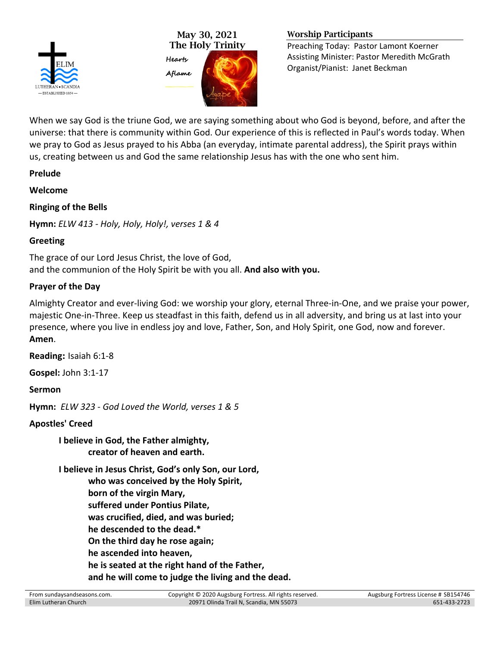

May 30, 2021 The Holy Trinity



#### Worship Participants

Preaching Today: Pastor Lamont Koerner Assisting Minister: Pastor Meredith McGrath Organist/Pianist: Janet Beckman

When we say God is the triune God, we are saying something about who God is beyond, before, and after the universe: that there is community within God. Our experience of this is reflected in Paul's words today. When we pray to God as Jesus prayed to his Abba (an everyday, intimate parental address), the Spirit prays within us, creating between us and God the same relationship Jesus has with the one who sent him.

**Prelude**

**Welcome**

**Ringing of the Bells**

**Hymn:** *ELW 413 - Holy, Holy, Holy!, verses 1 & 4*

# **Greeting**

The grace of our Lord Jesus Christ, the love of God, and the communion of the Holy Spirit be with you all. **And also with you.**

# **Prayer of the Day**

Almighty Creator and ever-living God: we worship your glory, eternal Three-in-One, and we praise your power, majestic One-in-Three. Keep us steadfast in this faith, defend us in all adversity, and bring us at last into your presence, where you live in endless joy and love, Father, Son, and Holy Spirit, one God, now and forever. **Amen**.

**Reading:** Isaiah 6:1-8

**Gospel:** John 3:1-17

**Sermon**

**Hymn:** *ELW 323 - God Loved the World, verses 1 & 5*

# **Apostles' Creed**

**I believe in God, the Father almighty, creator of heaven and earth.**

**I believe in Jesus Christ, God's only Son, our Lord, who was conceived by the Holy Spirit, born of the virgin Mary, suffered under Pontius Pilate, was crucified, died, and was buried; he descended to the dead.\* On the third day he rose again; he ascended into heaven, he is seated at the right hand of the Father, and he will come to judge the living and the dead.**